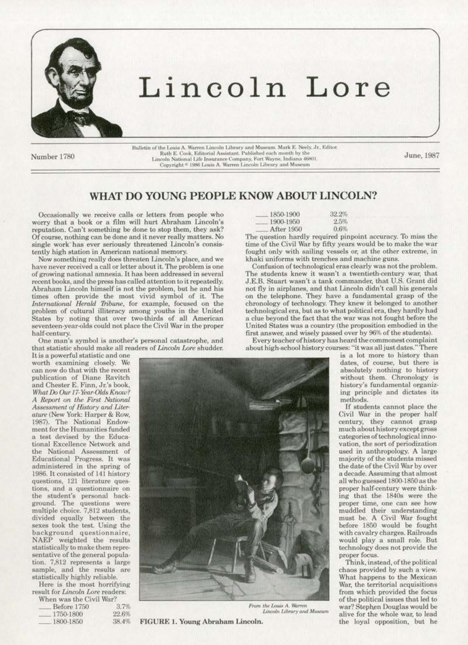

# Lincoln Lore

Bulletin of the Louis A. Warren Lincoln Library and Museum. Mark E. Neely, Jr., Editor.<br>Ruth E. Cook, Editorial Assistant. Published each month by the Ruth E. Cook, Editorial Assistant. Published each month by the<br>Lincoln National Life Insurance Company, Fort Wayne, Indiana 46801.<br>Copyright \* 1986 Louis A. Warren Lincoln Library and Museum

June, 1987

## WHAT DO YOUNG PEOPLE KNOW ABOUT LINCOLN?

Occasionally we receive calls or letters from people who worry that a book or a film will hurt Abraham Lincoln's reputation. Can't something be done to stop them, they ask? Of course, nothing can be done and it never really matters. No single work has ever seriously threatened Lincoln's consistently high station in American national memory.

Now something really does threaten Lincoln's place, and we have never received a call or letter about it. The problem is one of growing national amnesia. It has been addressed in several recent books, and the press has called attention to it repeatedly. Abraham Lincoln himself is not the problem, but he and his times often provide the most. vivid symbol of it. The *International Herald Tribune*, for example, focused on the problem of cultural illiteracy among youths in the United States by noting that over two-thirds of all American seventeen-year-olds could not place the Civil War in the proper half-century.

One man's symbol is another's personal catastrophe, and that statistic should make all readers of *Lincoln Lore* shudder.<br>It is a powerful statistic and one

worth examining closely. We can now do that with the recent. publication of Diane Ravitch and Chester E. Finn, Jr.'s book, *What Do Our 17-Year-Olds Know? A &port on the First National*   $A$ ssessment of *History* and *Liter*ature (New York: Harper & Row, 1987). The National Endow-<br>ment for the Humanities funded a test devised by the Educational Excellence Network and the National Assessment of Educational Progress. It was administered in the spring of 1986. It consisted of 141 history questions, 121 literature questions, and a questionnaire on the student's personal back-<br>ground. The questions were multiple choice. 7,812 students,<br>divided equally between the sexes took the test. Using the background questionnaire, NAEP weighted the results statistically to make them representative of the general population. 7,812 represents a large sample, and the results are statistically highly reliable.

Here is the most horrifying result for *Lincoln Lore* renders: When was the Civil War?

| IT LIGHT TY GLO LETC CALVEL TYGLS |       |
|-----------------------------------|-------|
| Before 1750                       | 3.7%  |
| 1750-1800                         | 22.6% |
| 1800-1850                         | 38.4% |

| 1850-1900                                                                                                                                                                                                                      | $32.2\%$ |
|--------------------------------------------------------------------------------------------------------------------------------------------------------------------------------------------------------------------------------|----------|
| 1900-1950                                                                                                                                                                                                                      | 2.5%     |
| After 1950                                                                                                                                                                                                                     | 0.6%     |
| A THE REPORT OF THE REPORT OF THE REPORT OF THE REPORT OF THE REPORT OF THE REPORT OF THE REPORT OF THE REPORT OF THE REPORT OF THE REPORT OF THE REPORT OF THE REPORT OF THE REPORT OF THE REPORT OF THE REPORT OF THE REPORT |          |

The question hardly required pinpoint accuracy. To miss the time of the Civil War by fifty years would be to make the war fought only with sailing vessels or, at the other extreme, in khaki uniforms with trenches and machine guns.

Confusion of technological eras clearly was not the problem. The students knew it wasn't a twentieth-century war, that J.E.B. Stuart. wasn't a tank commander, that U.S. Grant did not fly in airplanes, and that Lincoln didn't call his generals on the telephone. They have a fundamental grasp of the chronology of technology. They knew it belonged to another technological era, but as to what political era, they hardly had a clue beyond the fact that the war was not fought before the United States was a country (the proposition embodied in the first answer, and wisely passed over by 96% of the students).

Every teacher of history has heard the commonest complaint about high-school history courses: "it was all just dates." There

is a lot more to history than dates, of course, but there is absolutely nothing to history without them. Chronology is history's fundamental organizing principle and dictates its methods.

If students cannot place the Civil War in the proper half century, they cannot grasp much about history except gross<br>categories of technological innovation, the sort of periodization used in anthropology. A large majority of the students missed the date of the Civil War by over a decade. Assuming that almost all who guessed l8QO.l850asthc proper half-century were think· ing that the 1840s were the proper time, one can sec how muddled their understanding must be. A Civil War fought before 1850 would be fought with cavalry charges. Railroads would play a small role. But technology does not provide the proper focus.<br>Think, instead, of the political

chaos provided by such a view. What happens to the Mexican War, the territorial acquisitions from which provided the focus of the political issues that led to From the Louis A. Warren war? Stephen Douglas would be Lincoln Library and Museum olive for the whole and all and alive for the whole war, to lead



<sup>186</sup> FIGURE 1. Young Abraham Lincoln. the loyal opposition, but he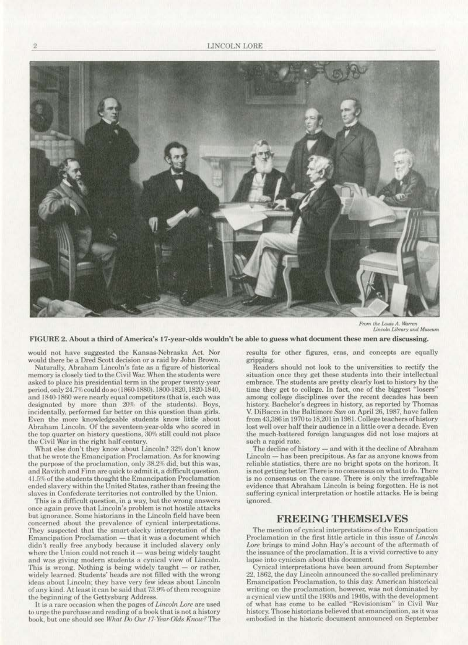

From the Louis A. Warren Lincoln Library and Museum

FIGURE 2. About a third of America's 17-year-olds wouldn't be able to guess what document these men are discussing.

would not have suggested the Kansas-Nebraska Act. Nor would there be a Dred Scott decision or a raid by John Brown.

Naturally, Abraham Lincoln's fate as a figure of historical memory is closely tied to the Civil War. When the students were asked to place his presidential term in the proper twenty-year period. only 24.7% could do so (1860-1880), 1800-1820, 1820-1840. and 1840-1860 were nearly equal competitors (that is, each was designated by more than 20% of the students). Boys, incidentally, performed far better on this question than girls. Even the more knowledgeable students know little about Abraham Lincoln. Of the seventeen-year-olds who scored in the top quarter on history questions, 30% still could not place the Civil War in the right half-century.

What else don't they know about Lincoln? 32% don't know that he wrote the Emancipation Proclamation. As for knowing the purpose of the proclamation, only 38.2% did, but this was, and Ravitch and Finn are quick to admit it, a difficult question. 41.5% of the students thought the Emancipation Proclamation ended slavery within the United States, rather than freeing the slaves in Confederate territories not controlled by the Union.

This is a difficult question, in a way, but the wrong answers once again prove that Lincoln's problem is not hostile attacks but ignorance. Some historians in the Lincoln field have been concerned about the prevalence of cynical interpretations. They suspected that the smart-alecky interpretation of the Emancipation Proclamation — that it was a document which<br>didn't really free anybody because it included slavery only where the Union could not reach it - was being widely taught and was giving modern students a cynical view of Lincoln. This is wrong. Nothing is being widely taught - or rather, widely learned. Students' heads are not filled with the wrong ideas about Lincoln; they have very few ideas about Lincoln of any kind. At least it can be said that 73.9% of them recognize the beginning of the Gettysburg Address.

It is a rare occasion when the pages of Lincoln Lore are used to urge the purchase and reading of a book that is not a history book, but one should see What Do Our 17-Year-Olds Know? The results for other figures, eras, and concepts are equally gripping.

Readers should not look to the universities to rectify the situation once they get these students into their intellectual embrace. The students are pretty clearly lost to history by the time they get to college. In fact, one of the biggest "losers" among college disciplines over the recent decades has been history. Bachelor's degrees in history, as reported by Thomas V. DiBacco in the Baltimore Sun on April 26, 1987, have fallen from 43,386 in 1970 to 18,201 in 1981. College teachers of history lost well over half their audience in a little over a decade. Even the much-battered foreign languages did not lose majors at such a rapid rate.

The decline of history - and with it the decline of Abraham Lincoln - has been precipitous. As far as anyone knows from reliable statistics, there are no bright spots on the horizon. It is not getting better. There is no consensus on what to do. There is no consensus on the cause. There is only the irrefragable evidence that Abraham Lincoln is being forgotten. He is not suffering cynical interpretation or hostile attacks. He is being ignored.

## **FREEING THEMSELVES**

The mention of cynical interpretations of the Emancipation Proclamation in the first little article in this issue of Lincoln Lore brings to mind John Hay's account of the aftermath of the issuance of the proclamation. It is a vivid corrective to any lapse into cynicism about this document.

Cynical interpretations have been around from September 22, 1862, the day Lincoln announced the so-called preliminary Emancipation Proclamation, to this day. American historical writing on the proclamation, however, was not dominated by a cynical view until the 1930s and 1940s, with the development of what has come to be called "Revisionism" in Civil War history. Those historians believed that emancipation, as it was embodied in the historic document announced on September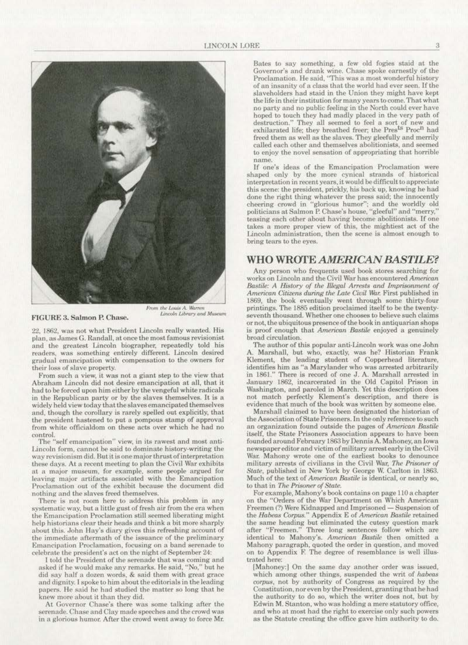

FIGURE 3. Salmon P. Chase.

From the Louis A. Warren<br>Lincoln Library and Museum

22, 1862, was not what President Lincoln really wanted. His plan, as James G. Randall, at once the most famous revisionist and the greatest Lincoln biographer, repeatedly told his readers, was something entirely different. Lincoln desired gradual emancipation with compensation to the owners for their loss of slave property.

From such a view, it was not a giant step to the view that Abraham Lincoln did not desire emancipation at all, that it had to be forced upon him either by the vengeful white radicals in the Republican party or by the slaves themselves. It is a widely held view today that the slaves emancipated themselves and, though the corollary is rarely spelled out explicitly, that the president hastened to put a pompous stamp of approval from white officialdom on these acts over which he had no control.

The "self emancipation" view, in its rawest and most anti-Lincoln form, cannot be said to dominate history-writing the way revisionism did. But it is one major thrust of interpretation these days. At a recent meeting to plan the Civil War exhibits at a major museum, for example, some people argued for leaving major artifacts associated with the Emancipation Proclamation out of the exhibit because the document did nothing and the slaves freed themselves.

There is not room here to address this problem in any systematic way, but a little gust of fresh air from the era when the Emancipation Proclamation still seemed liberating might help historians clear their heads and think a bit more sharply about this. John Hay's diary gives this refreshing account of the immediate aftermath of the issuance of the preliminary Emancipation Proclamation, focusing on a band serenade to celebrate the president's act on the night of September 24:

I told the President of the serenade that was coming and asked if he would make any remarks. He said, "No," but he did say half a dozen words, & said them with great grace and dignity. I spoke to him about the editorials in the leading papers. He said he had studied the matter so long that he knew more about it than they did.

At Governor Chase's there was some talking after the serenade. Chase and Clay made speeches and the crowd was in a glorious humor. After the crowd went away to force Mr. Bates to say something, a few old fogies staid at the Governor's and drank wine. Chase spoke earnestly of the Proclamation. He said, "This was a most wonderful history of an insanity of a class that the world had ever seen. If the slaveholders had staid in the Union they might have kept the life in their institution for many years to come. That what no party and no public feeling in the North could ever have hoped to touch they had madly placed in the very path of destruction." They all seemed to feel a sort of new and exhilarated life; they breathed freer; the Pres<sup>ts</sup> Proc<sup>n</sup> had freed them as well as the slaves. They gleefully and merrily called each other and themselves abolitionists, and seemed to enjoy the novel sensation of appropriating that horrible name.

If one's ideas of the Emancipation Proclamation were shaped only by the more cynical strands of historical interpretation in recent years, it would be difficult to appreciate this scene: the president, prickly, his back up, knowing he had done the right thing whatever the press said; the innocently cheering crowd in "glorious humor"; and the worldly old politicians at Salmon P. Chase's house, "gleeful" and "merry," teasing each other about having become abolitionists. If one takes a more proper view of this, the mightiest act of the Lincoln administration, then the scene is almost enough to bring tears to the eves.

### **WHO WROTE AMERICAN BASTILE?**

Any person who frequents used book stores searching for works on Lincoln and the Civil War has encountered American Bastile: A History of the Illegal Arrests and Imprisonment of American Citizens during the Late Civil War. First published in 1869, the book eventually went through some thirty-four printings. The 1885 edition proclaimed itself to be the twentyseventh thousand. Whether one chooses to believe such claims or not, the ubiquitous presence of the book in antiquarian shops is proof enough that American Bastile enjoyed a genuinely broad circulation.

The author of this popular anti-Lincoln work was one John Marshall, but who, exactly, was he? Historian Frank Klement, the leading student of Copperhead literature, identifies him as "a Marylander who was arrested arbitrarily in 1861." There is record of one J. A. Marshall arrested in January 1862, incarcerated in the Old Capitol Prison in Washington, and paroled in March. Yet this description does not match perfectly Klement's description, and there is evidence that much of the book was written by someone else.

Marshall claimed to have been designated the historian of the Association of State Prisoners. In the only reference to such an organization found outside the pages of American Bastile itself, the State Prisoners Association appears to have been founded around February 1863 by Dennis A. Mahoney, an Iowa newspaper editor and victim of military arrest early in the Civil War. Mahony wrote one of the earliest books to denounce military arrests of civilians in the Civil War, The Prisoner of State, published in New York by George W. Carlton in 1863. Much of the text of American Bastile is identical, or nearly so, to that in The Prisoner of State.

For example, Mahony's book contains on page 110 a chapter on the "Orders of the War Department on Which American Freemen (?) Were Kidnapped and Imprisoned - Suspension of the Habeas Corpus." Appendix E of American Bastile retained the same heading but eliminated the cutesy question mark<br>after "Freemen." Three long sentences follow which are identical to Mahony's. American Bastile then omitted a Mahony paragraph, quoted the order in question, and moved on to Appendix F. The degree of resemblance is well illustrated here:

[Mahoney:] On the same day another order was issued, which among other things, suspended the writ of habeas corpus, not by authority of Congress as required by the Constitution, nor even by the President, granting that he had the authority to do so, which the writer does not, but by Edwin M. Stanton, who was holding a mere statutory office, and who at most had the right to exercise only such powers as the Statute creating the office gave him authority to do.